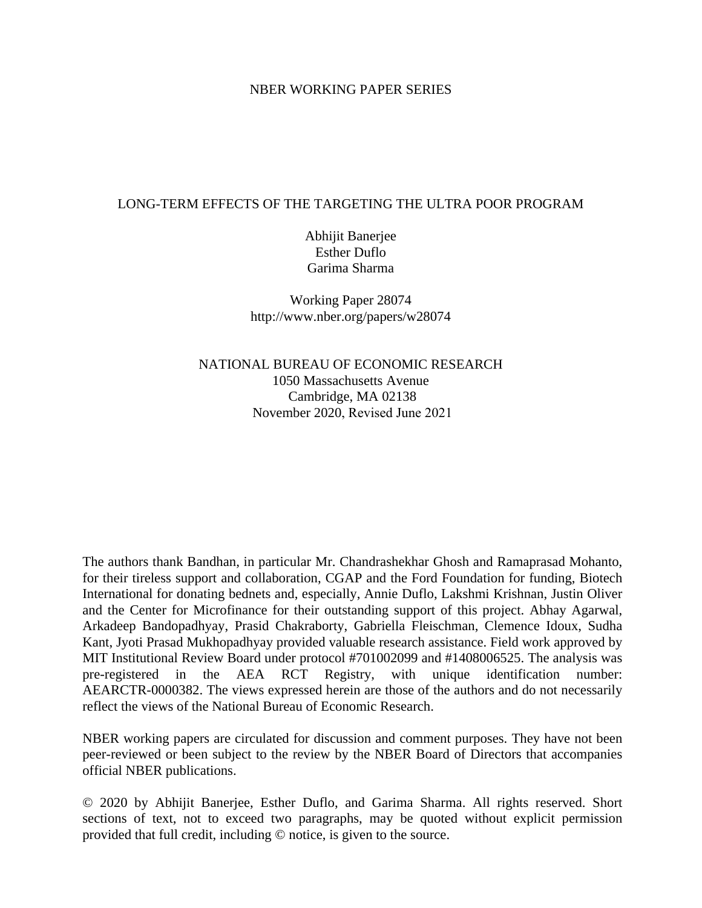### NBER WORKING PAPER SERIES

## LONG-TERM EFFECTS OF THE TARGETING THE ULTRA POOR PROGRAM

Abhijit Banerjee Esther Duflo Garima Sharma

Working Paper 28074 http://www.nber.org/papers/w28074

NATIONAL BUREAU OF ECONOMIC RESEARCH 1050 Massachusetts Avenue Cambridge, MA 02138 November 2020, Revised June 2021

The authors thank Bandhan, in particular Mr. Chandrashekhar Ghosh and Ramaprasad Mohanto, for their tireless support and collaboration, CGAP and the Ford Foundation for funding, Biotech International for donating bednets and, especially, Annie Duflo, Lakshmi Krishnan, Justin Oliver and the Center for Microfinance for their outstanding support of this project. Abhay Agarwal, Arkadeep Bandopadhyay, Prasid Chakraborty, Gabriella Fleischman, Clemence Idoux, Sudha Kant, Jyoti Prasad Mukhopadhyay provided valuable research assistance. Field work approved by MIT Institutional Review Board under protocol #701002099 and #1408006525. The analysis was pre-registered in the AEA RCT Registry, with unique identification number: AEARCTR-0000382. The views expressed herein are those of the authors and do not necessarily reflect the views of the National Bureau of Economic Research.

NBER working papers are circulated for discussion and comment purposes. They have not been peer-reviewed or been subject to the review by the NBER Board of Directors that accompanies official NBER publications.

© 2020 by Abhijit Banerjee, Esther Duflo, and Garima Sharma. All rights reserved. Short sections of text, not to exceed two paragraphs, may be quoted without explicit permission provided that full credit, including © notice, is given to the source.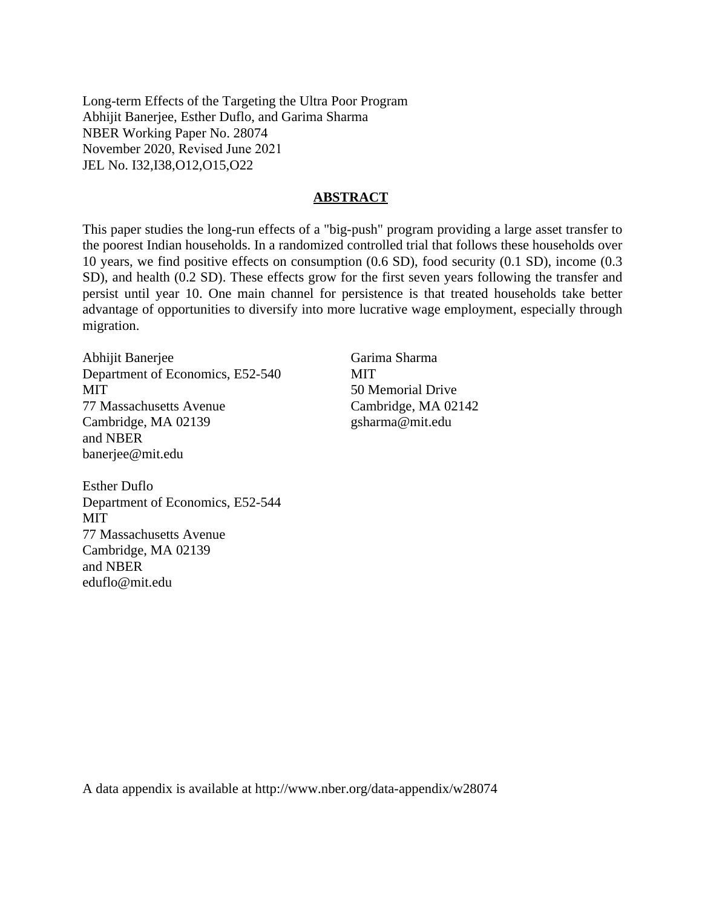Long-term Effects of the Targeting the Ultra Poor Program Abhijit Banerjee, Esther Duflo, and Garima Sharma NBER Working Paper No. 28074 November 2020, Revised June 2021 JEL No. I32,I38,O12,O15,O22

### **ABSTRACT**

This paper studies the long-run effects of a "big-push" program providing a large asset transfer to the poorest Indian households. In a randomized controlled trial that follows these households over 10 years, we find positive effects on consumption (0.6 SD), food security (0.1 SD), income (0.3 SD), and health (0.2 SD). These effects grow for the first seven years following the transfer and persist until year 10. One main channel for persistence is that treated households take better advantage of opportunities to diversify into more lucrative wage employment, especially through migration.

Abhijit Banerjee Department of Economics, E52-540 MIT 77 Massachusetts Avenue Cambridge, MA 02139 and NBER banerjee@mit.edu

Esther Duflo Department of Economics, E52-544 **MIT** 77 Massachusetts Avenue Cambridge, MA 02139 and NBER eduflo@mit.edu

Garima Sharma **MIT** 50 Memorial Drive Cambridge, MA 02142 gsharma@mit.edu

A data appendix is available at http://www.nber.org/data-appendix/w28074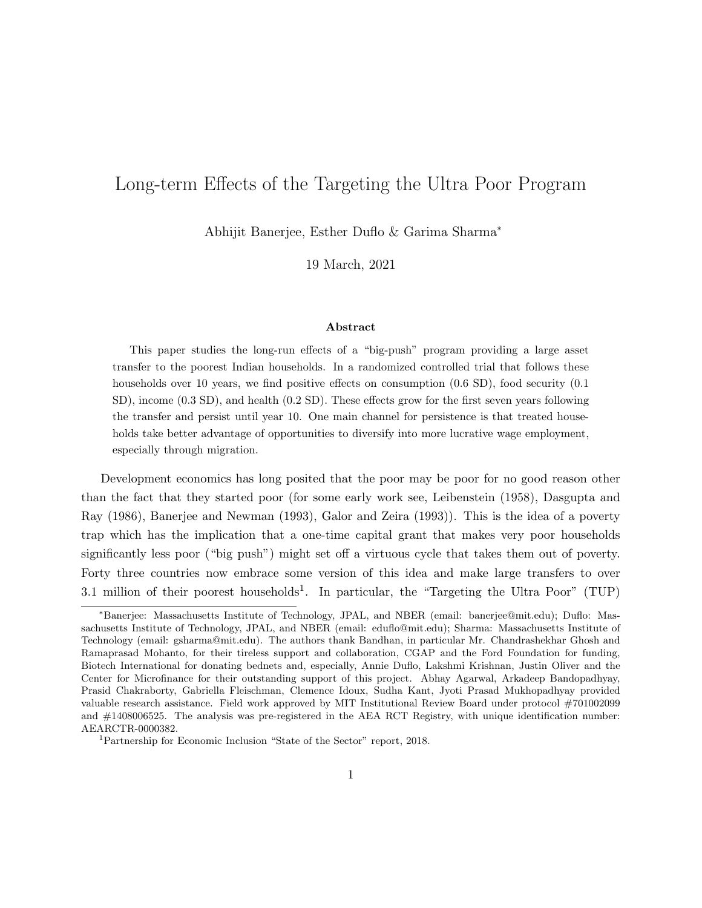# Long-term Effects of the Targeting the Ultra Poor Program

Abhijit Banerjee, Esther Duflo & Garima Sharma<sup>∗</sup>

19 March, 2021

#### Abstract

This paper studies the long-run effects of a "big-push" program providing a large asset transfer to the poorest Indian households. In a randomized controlled trial that follows these households over 10 years, we find positive effects on consumption  $(0.6 \text{ SD})$ , food security  $(0.1 \text{ SD})$ SD), income (0.3 SD), and health (0.2 SD). These effects grow for the first seven years following the transfer and persist until year 10. One main channel for persistence is that treated households take better advantage of opportunities to diversify into more lucrative wage employment, especially through migration.

Development economics has long posited that the poor may be poor for no good reason other than the fact that they started poor (for some early work see, Leibenstein (1958), Dasgupta and Ray (1986), Banerjee and Newman (1993), Galor and Zeira (1993)). This is the idea of a poverty trap which has the implication that a one-time capital grant that makes very poor households significantly less poor ("big push") might set off a virtuous cycle that takes them out of poverty. Forty three countries now embrace some version of this idea and make large transfers to over 3.1 million of their poorest households<sup>1</sup>. In particular, the "Targeting the Ultra Poor" (TUP)

<sup>∗</sup>Banerjee: Massachusetts Institute of Technology, JPAL, and NBER (email: banerjee@mit.edu); Duflo: Massachusetts Institute of Technology, JPAL, and NBER (email: eduflo@mit.edu); Sharma: Massachusetts Institute of Technology (email: gsharma@mit.edu). The authors thank Bandhan, in particular Mr. Chandrashekhar Ghosh and Ramaprasad Mohanto, for their tireless support and collaboration, CGAP and the Ford Foundation for funding, Biotech International for donating bednets and, especially, Annie Duflo, Lakshmi Krishnan, Justin Oliver and the Center for Microfinance for their outstanding support of this project. Abhay Agarwal, Arkadeep Bandopadhyay, Prasid Chakraborty, Gabriella Fleischman, Clemence Idoux, Sudha Kant, Jyoti Prasad Mukhopadhyay provided valuable research assistance. Field work approved by MIT Institutional Review Board under protocol #701002099 and #1408006525. The analysis was pre-registered in the AEA RCT Registry, with unique identification number: AEARCTR-0000382.

<sup>1</sup>Partnership for Economic Inclusion "State of the Sector" report, 2018.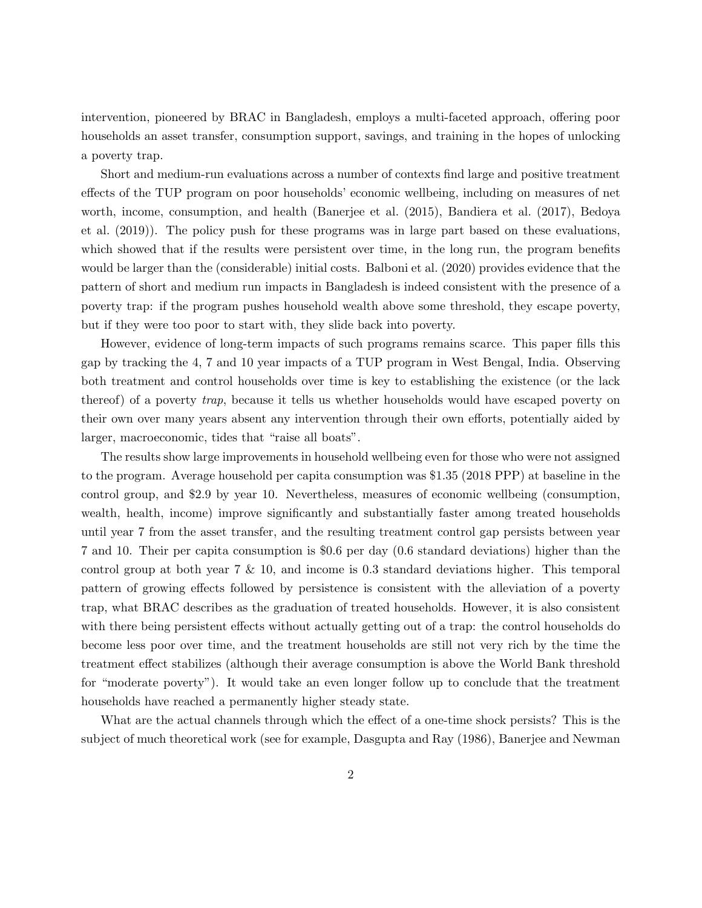intervention, pioneered by BRAC in Bangladesh, employs a multi-faceted approach, offering poor households an asset transfer, consumption support, savings, and training in the hopes of unlocking a poverty trap.

Short and medium-run evaluations across a number of contexts find large and positive treatment effects of the TUP program on poor households' economic wellbeing, including on measures of net worth, income, consumption, and health (Banerjee et al. (2015), Bandiera et al. (2017), Bedoya et al. (2019)). The policy push for these programs was in large part based on these evaluations, which showed that if the results were persistent over time, in the long run, the program benefits would be larger than the (considerable) initial costs. Balboni et al. (2020) provides evidence that the pattern of short and medium run impacts in Bangladesh is indeed consistent with the presence of a poverty trap: if the program pushes household wealth above some threshold, they escape poverty, but if they were too poor to start with, they slide back into poverty.

However, evidence of long-term impacts of such programs remains scarce. This paper fills this gap by tracking the 4, 7 and 10 year impacts of a TUP program in West Bengal, India. Observing both treatment and control households over time is key to establishing the existence (or the lack thereof) of a poverty trap, because it tells us whether households would have escaped poverty on their own over many years absent any intervention through their own efforts, potentially aided by larger, macroeconomic, tides that "raise all boats".

The results show large improvements in household wellbeing even for those who were not assigned to the program. Average household per capita consumption was \$1.35 (2018 PPP) at baseline in the control group, and \$2.9 by year 10. Nevertheless, measures of economic wellbeing (consumption, wealth, health, income) improve significantly and substantially faster among treated households until year 7 from the asset transfer, and the resulting treatment control gap persists between year 7 and 10. Their per capita consumption is \$0.6 per day (0.6 standard deviations) higher than the control group at both year  $7 \& 10$ , and income is 0.3 standard deviations higher. This temporal pattern of growing effects followed by persistence is consistent with the alleviation of a poverty trap, what BRAC describes as the graduation of treated households. However, it is also consistent with there being persistent effects without actually getting out of a trap: the control households do become less poor over time, and the treatment households are still not very rich by the time the treatment effect stabilizes (although their average consumption is above the World Bank threshold for "moderate poverty"). It would take an even longer follow up to conclude that the treatment households have reached a permanently higher steady state.

What are the actual channels through which the effect of a one-time shock persists? This is the subject of much theoretical work (see for example, Dasgupta and Ray (1986), Banerjee and Newman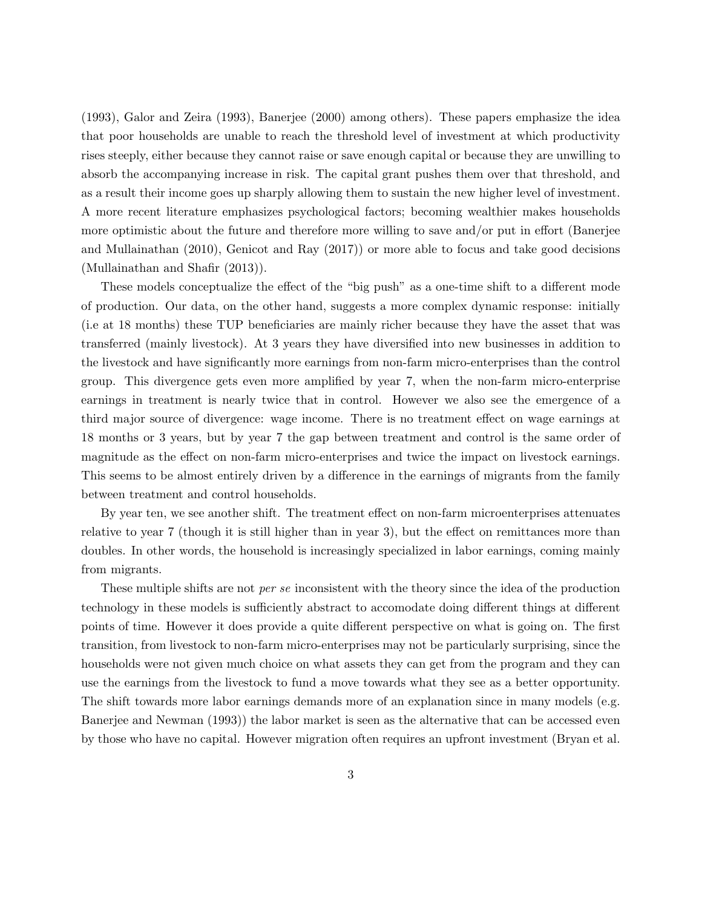(1993), Galor and Zeira (1993), Banerjee (2000) among others). These papers emphasize the idea that poor households are unable to reach the threshold level of investment at which productivity rises steeply, either because they cannot raise or save enough capital or because they are unwilling to absorb the accompanying increase in risk. The capital grant pushes them over that threshold, and as a result their income goes up sharply allowing them to sustain the new higher level of investment. A more recent literature emphasizes psychological factors; becoming wealthier makes households more optimistic about the future and therefore more willing to save and/or put in effort (Banerjee and Mullainathan (2010), Genicot and Ray (2017)) or more able to focus and take good decisions (Mullainathan and Shafir (2013)).

These models conceptualize the effect of the "big push" as a one-time shift to a different mode of production. Our data, on the other hand, suggests a more complex dynamic response: initially (i.e at 18 months) these TUP beneficiaries are mainly richer because they have the asset that was transferred (mainly livestock). At 3 years they have diversified into new businesses in addition to the livestock and have significantly more earnings from non-farm micro-enterprises than the control group. This divergence gets even more amplified by year 7, when the non-farm micro-enterprise earnings in treatment is nearly twice that in control. However we also see the emergence of a third major source of divergence: wage income. There is no treatment effect on wage earnings at 18 months or 3 years, but by year 7 the gap between treatment and control is the same order of magnitude as the effect on non-farm micro-enterprises and twice the impact on livestock earnings. This seems to be almost entirely driven by a difference in the earnings of migrants from the family between treatment and control households.

By year ten, we see another shift. The treatment effect on non-farm microenterprises attenuates relative to year 7 (though it is still higher than in year 3), but the effect on remittances more than doubles. In other words, the household is increasingly specialized in labor earnings, coming mainly from migrants.

These multiple shifts are not *per se* inconsistent with the theory since the idea of the production technology in these models is sufficiently abstract to accomodate doing different things at different points of time. However it does provide a quite different perspective on what is going on. The first transition, from livestock to non-farm micro-enterprises may not be particularly surprising, since the households were not given much choice on what assets they can get from the program and they can use the earnings from the livestock to fund a move towards what they see as a better opportunity. The shift towards more labor earnings demands more of an explanation since in many models (e.g. Banerjee and Newman (1993)) the labor market is seen as the alternative that can be accessed even by those who have no capital. However migration often requires an upfront investment (Bryan et al.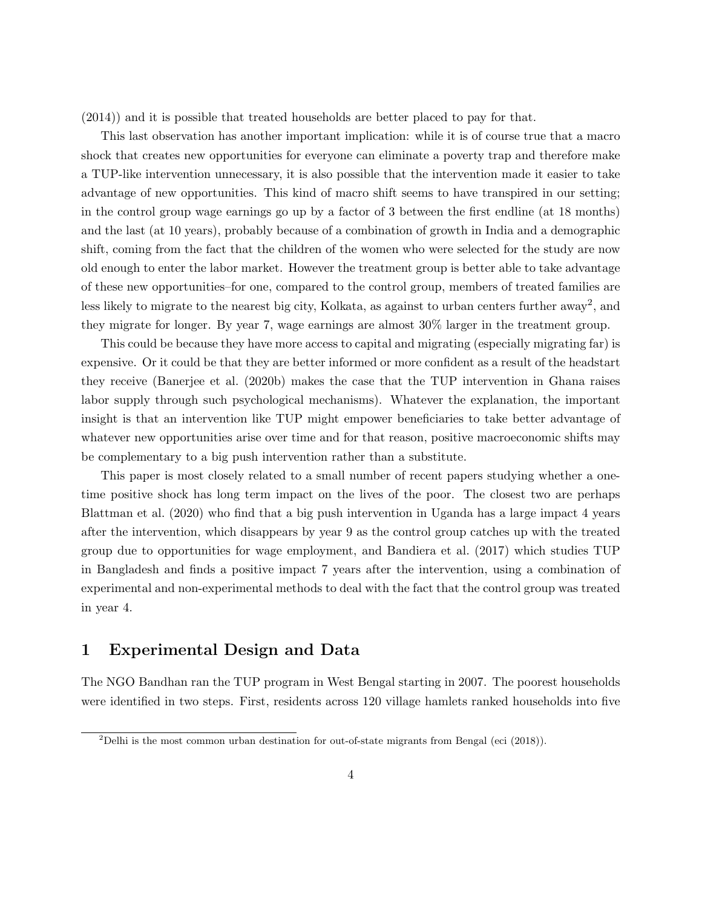(2014)) and it is possible that treated households are better placed to pay for that.

This last observation has another important implication: while it is of course true that a macro shock that creates new opportunities for everyone can eliminate a poverty trap and therefore make a TUP-like intervention unnecessary, it is also possible that the intervention made it easier to take advantage of new opportunities. This kind of macro shift seems to have transpired in our setting; in the control group wage earnings go up by a factor of 3 between the first endline (at 18 months) and the last (at 10 years), probably because of a combination of growth in India and a demographic shift, coming from the fact that the children of the women who were selected for the study are now old enough to enter the labor market. However the treatment group is better able to take advantage of these new opportunities–for one, compared to the control group, members of treated families are less likely to migrate to the nearest big city, Kolkata, as against to urban centers further away<sup>2</sup>, and they migrate for longer. By year 7, wage earnings are almost 30% larger in the treatment group.

This could be because they have more access to capital and migrating (especially migrating far) is expensive. Or it could be that they are better informed or more confident as a result of the headstart they receive (Banerjee et al. (2020b) makes the case that the TUP intervention in Ghana raises labor supply through such psychological mechanisms). Whatever the explanation, the important insight is that an intervention like TUP might empower beneficiaries to take better advantage of whatever new opportunities arise over time and for that reason, positive macroeconomic shifts may be complementary to a big push intervention rather than a substitute.

This paper is most closely related to a small number of recent papers studying whether a onetime positive shock has long term impact on the lives of the poor. The closest two are perhaps Blattman et al. (2020) who find that a big push intervention in Uganda has a large impact 4 years after the intervention, which disappears by year 9 as the control group catches up with the treated group due to opportunities for wage employment, and Bandiera et al. (2017) which studies TUP in Bangladesh and finds a positive impact 7 years after the intervention, using a combination of experimental and non-experimental methods to deal with the fact that the control group was treated in year 4.

# 1 Experimental Design and Data

The NGO Bandhan ran the TUP program in West Bengal starting in 2007. The poorest households were identified in two steps. First, residents across 120 village hamlets ranked households into five

<sup>&</sup>lt;sup>2</sup>Delhi is the most common urban destination for out-of-state migrants from Bengal (eci (2018)).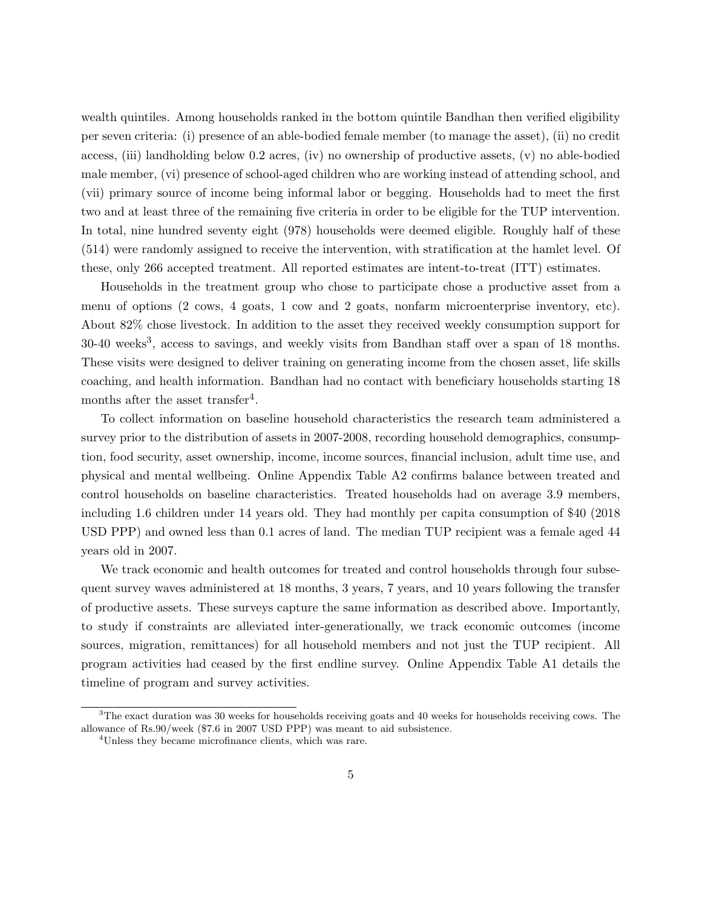wealth quintiles. Among households ranked in the bottom quintile Bandhan then verified eligibility per seven criteria: (i) presence of an able-bodied female member (to manage the asset), (ii) no credit access, (iii) landholding below 0.2 acres, (iv) no ownership of productive assets, (v) no able-bodied male member, (vi) presence of school-aged children who are working instead of attending school, and (vii) primary source of income being informal labor or begging. Households had to meet the first two and at least three of the remaining five criteria in order to be eligible for the TUP intervention. In total, nine hundred seventy eight (978) households were deemed eligible. Roughly half of these (514) were randomly assigned to receive the intervention, with stratification at the hamlet level. Of these, only 266 accepted treatment. All reported estimates are intent-to-treat (ITT) estimates.

Households in the treatment group who chose to participate chose a productive asset from a menu of options (2 cows, 4 goats, 1 cow and 2 goats, nonfarm microenterprise inventory, etc). About 82% chose livestock. In addition to the asset they received weekly consumption support for 30-40 weeks<sup>3</sup>, access to savings, and weekly visits from Bandhan staff over a span of 18 months. These visits were designed to deliver training on generating income from the chosen asset, life skills coaching, and health information. Bandhan had no contact with beneficiary households starting 18 months after the asset transfer<sup>4</sup>.

To collect information on baseline household characteristics the research team administered a survey prior to the distribution of assets in 2007-2008, recording household demographics, consumption, food security, asset ownership, income, income sources, financial inclusion, adult time use, and physical and mental wellbeing. Online Appendix Table A2 confirms balance between treated and control households on baseline characteristics. Treated households had on average 3.9 members, including 1.6 children under 14 years old. They had monthly per capita consumption of \$40 (2018 USD PPP) and owned less than 0.1 acres of land. The median TUP recipient was a female aged 44 years old in 2007.

We track economic and health outcomes for treated and control households through four subsequent survey waves administered at 18 months, 3 years, 7 years, and 10 years following the transfer of productive assets. These surveys capture the same information as described above. Importantly, to study if constraints are alleviated inter-generationally, we track economic outcomes (income sources, migration, remittances) for all household members and not just the TUP recipient. All program activities had ceased by the first endline survey. Online Appendix Table A1 details the timeline of program and survey activities.

<sup>&</sup>lt;sup>3</sup>The exact duration was 30 weeks for households receiving goats and 40 weeks for households receiving cows. The allowance of Rs.90/week (\$7.6 in 2007 USD PPP) was meant to aid subsistence.

<sup>4</sup>Unless they became microfinance clients, which was rare.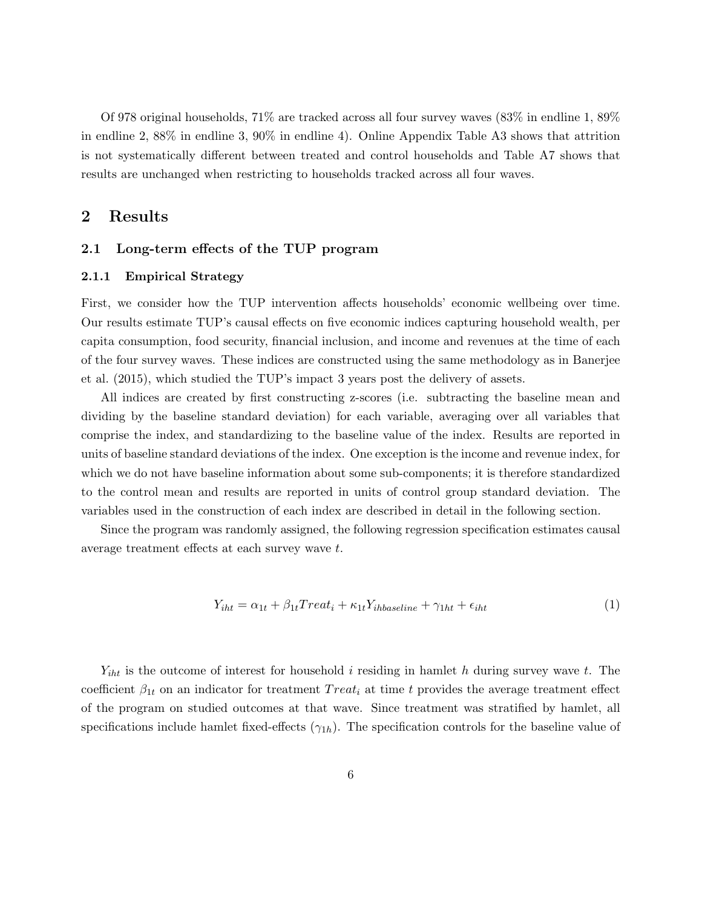Of 978 original households, 71% are tracked across all four survey waves (83% in endline 1, 89% in endline 2, 88% in endline 3, 90% in endline 4). Online Appendix Table A3 shows that attrition is not systematically different between treated and control households and Table A7 shows that results are unchanged when restricting to households tracked across all four waves.

## 2 Results

### 2.1 Long-term effects of the TUP program

#### 2.1.1 Empirical Strategy

First, we consider how the TUP intervention affects households' economic wellbeing over time. Our results estimate TUP's causal effects on five economic indices capturing household wealth, per capita consumption, food security, financial inclusion, and income and revenues at the time of each of the four survey waves. These indices are constructed using the same methodology as in Banerjee et al. (2015), which studied the TUP's impact 3 years post the delivery of assets.

All indices are created by first constructing z-scores (i.e. subtracting the baseline mean and dividing by the baseline standard deviation) for each variable, averaging over all variables that comprise the index, and standardizing to the baseline value of the index. Results are reported in units of baseline standard deviations of the index. One exception is the income and revenue index, for which we do not have baseline information about some sub-components; it is therefore standardized to the control mean and results are reported in units of control group standard deviation. The variables used in the construction of each index are described in detail in the following section.

Since the program was randomly assigned, the following regression specification estimates causal average treatment effects at each survey wave t.

$$
Y_{iht} = \alpha_{1t} + \beta_{1t} Treat_i + \kappa_{1t} Y_{ihbaseline} + \gamma_{1ht} + \epsilon_{iht}
$$
\n<sup>(1)</sup>

 $Y_{iht}$  is the outcome of interest for household i residing in hamlet h during survey wave t. The coefficient  $\beta_{1t}$  on an indicator for treatment Treat<sub>i</sub> at time t provides the average treatment effect of the program on studied outcomes at that wave. Since treatment was stratified by hamlet, all specifications include hamlet fixed-effects  $(\gamma_{1h})$ . The specification controls for the baseline value of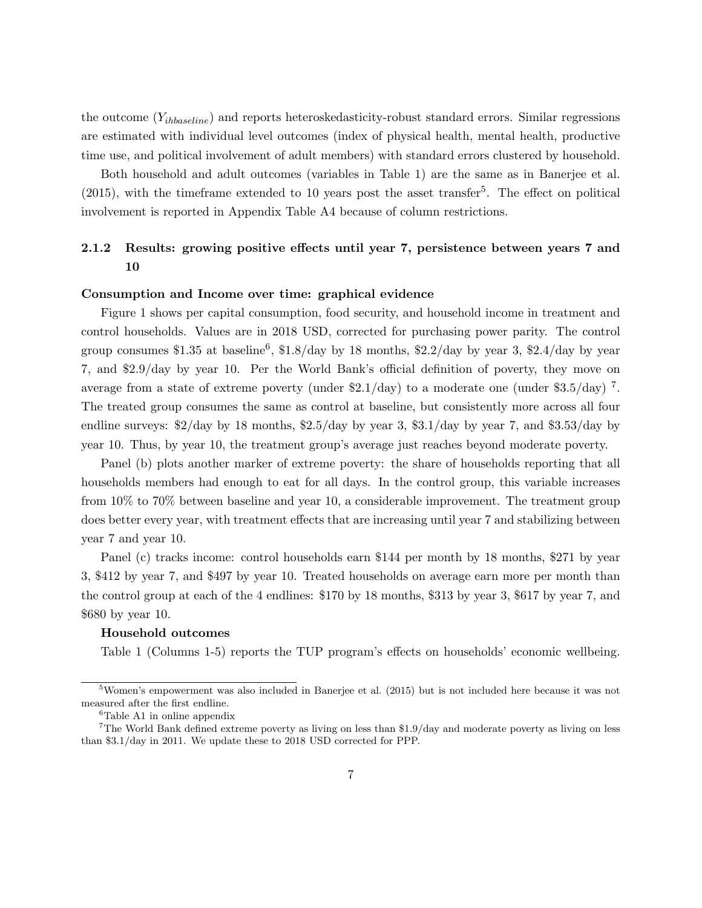the outcome  $(Y_{ihbaseline})$  and reports heteroskedasticity-robust standard errors. Similar regressions are estimated with individual level outcomes (index of physical health, mental health, productive time use, and political involvement of adult members) with standard errors clustered by household.

Both household and adult outcomes (variables in Table 1) are the same as in Banerjee et al.  $(2015)$ , with the timeframe extended to 10 years post the asset transfer<sup>5</sup>. The effect on political involvement is reported in Appendix Table A4 because of column restrictions.

# 2.1.2 Results: growing positive effects until year 7, persistence between years 7 and 10

#### Consumption and Income over time: graphical evidence

Figure 1 shows per capital consumption, food security, and household income in treatment and control households. Values are in 2018 USD, corrected for purchasing power parity. The control group consumes \$1.35 at baseline<sup>6</sup>, \$1.8/day by 18 months, \$2.2/day by year 3, \$2.4/day by year 7, and \$2.9/day by year 10. Per the World Bank's official definition of poverty, they move on average from a state of extreme poverty (under  $2.1/day$ ) to a moderate one (under  $3.5/day$ )<sup>7</sup>. The treated group consumes the same as control at baseline, but consistently more across all four endline surveys:  $\frac{2}{\text{day}}$  by 18 months,  $\frac{2.5}{\text{day}}$  by year 3,  $\frac{3.1}{\text{day}}$  by year 7, and  $\frac{3.53}{\text{day}}$  by year 10. Thus, by year 10, the treatment group's average just reaches beyond moderate poverty.

Panel (b) plots another marker of extreme poverty: the share of households reporting that all households members had enough to eat for all days. In the control group, this variable increases from 10% to 70% between baseline and year 10, a considerable improvement. The treatment group does better every year, with treatment effects that are increasing until year 7 and stabilizing between year 7 and year 10.

Panel (c) tracks income: control households earn \$144 per month by 18 months, \$271 by year 3, \$412 by year 7, and \$497 by year 10. Treated households on average earn more per month than the control group at each of the 4 endlines: \$170 by 18 months, \$313 by year 3, \$617 by year 7, and \$680 by year 10.

#### Household outcomes

Table 1 (Columns 1-5) reports the TUP program's effects on households' economic wellbeing.

<sup>5</sup>Women's empowerment was also included in Banerjee et al. (2015) but is not included here because it was not measured after the first endline.

<sup>&</sup>lt;sup>6</sup>Table A1 in online appendix

<sup>7</sup>The World Bank defined extreme poverty as living on less than \$1.9/day and moderate poverty as living on less than \$3.1/day in 2011. We update these to 2018 USD corrected for PPP.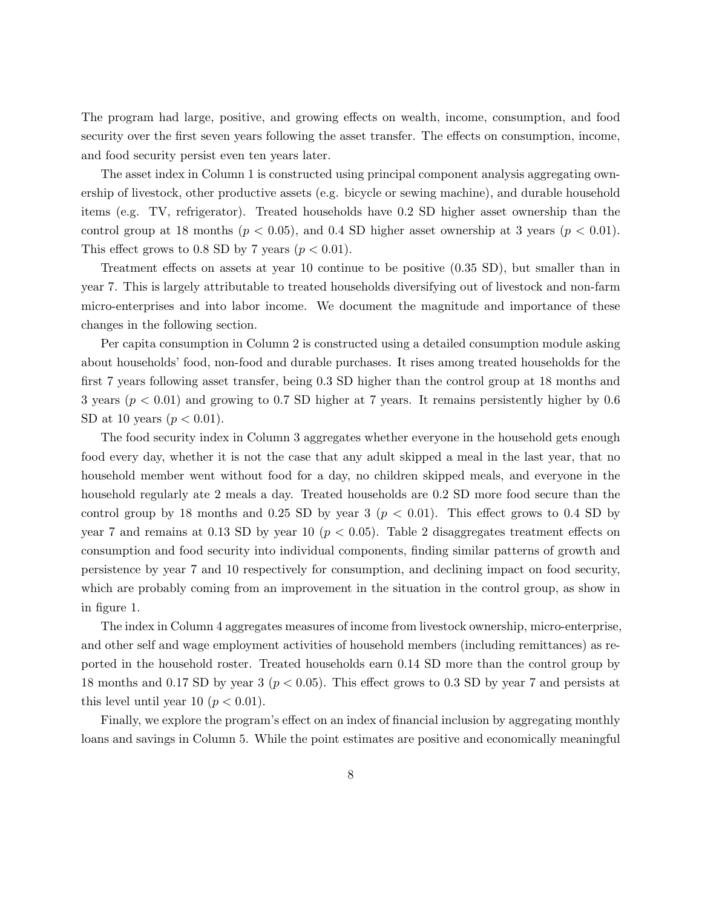The program had large, positive, and growing effects on wealth, income, consumption, and food security over the first seven years following the asset transfer. The effects on consumption, income, and food security persist even ten years later.

The asset index in Column 1 is constructed using principal component analysis aggregating ownership of livestock, other productive assets (e.g. bicycle or sewing machine), and durable household items (e.g. TV, refrigerator). Treated households have 0.2 SD higher asset ownership than the control group at 18 months ( $p < 0.05$ ), and 0.4 SD higher asset ownership at 3 years ( $p < 0.01$ ). This effect grows to 0.8 SD by 7 years  $(p < 0.01)$ .

Treatment effects on assets at year 10 continue to be positive (0.35 SD), but smaller than in year 7. This is largely attributable to treated households diversifying out of livestock and non-farm micro-enterprises and into labor income. We document the magnitude and importance of these changes in the following section.

Per capita consumption in Column 2 is constructed using a detailed consumption module asking about households' food, non-food and durable purchases. It rises among treated households for the first 7 years following asset transfer, being 0.3 SD higher than the control group at 18 months and 3 years ( $p < 0.01$ ) and growing to 0.7 SD higher at 7 years. It remains persistently higher by 0.6 SD at 10 years  $(p < 0.01)$ .

The food security index in Column 3 aggregates whether everyone in the household gets enough food every day, whether it is not the case that any adult skipped a meal in the last year, that no household member went without food for a day, no children skipped meals, and everyone in the household regularly ate 2 meals a day. Treated households are 0.2 SD more food secure than the control group by 18 months and 0.25 SD by year 3 ( $p < 0.01$ ). This effect grows to 0.4 SD by year 7 and remains at 0.13 SD by year 10 ( $p < 0.05$ ). Table 2 disaggregates treatment effects on consumption and food security into individual components, finding similar patterns of growth and persistence by year 7 and 10 respectively for consumption, and declining impact on food security, which are probably coming from an improvement in the situation in the control group, as show in in figure 1.

The index in Column 4 aggregates measures of income from livestock ownership, micro-enterprise, and other self and wage employment activities of household members (including remittances) as reported in the household roster. Treated households earn 0.14 SD more than the control group by 18 months and 0.17 SD by year 3 ( $p < 0.05$ ). This effect grows to 0.3 SD by year 7 and persists at this level until year 10 ( $p < 0.01$ ).

Finally, we explore the program's effect on an index of financial inclusion by aggregating monthly loans and savings in Column 5. While the point estimates are positive and economically meaningful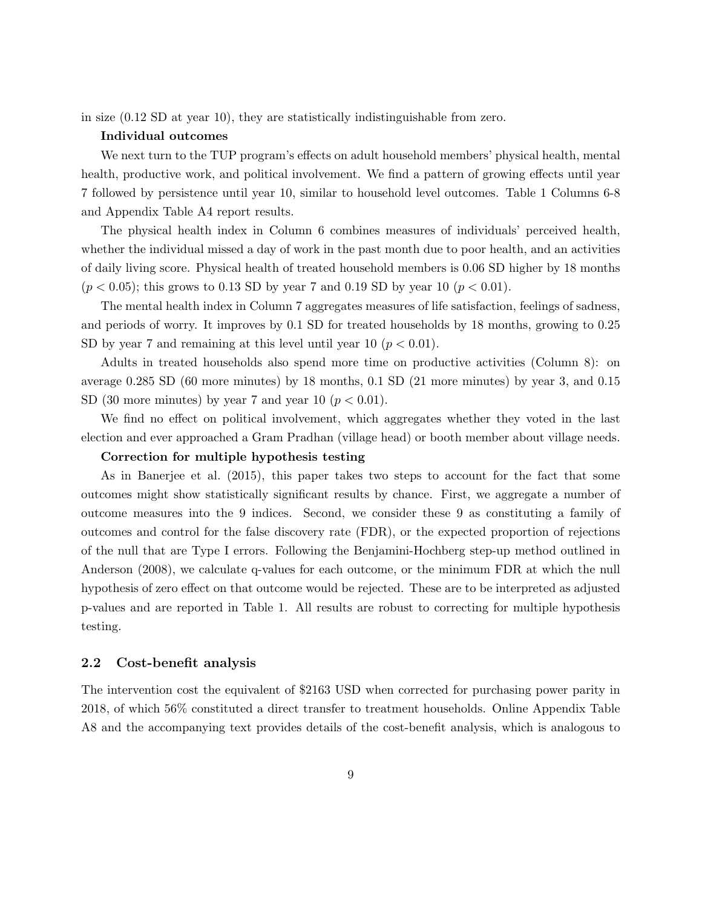in size (0.12 SD at year 10), they are statistically indistinguishable from zero.

#### Individual outcomes

We next turn to the TUP program's effects on adult household members' physical health, mental health, productive work, and political involvement. We find a pattern of growing effects until year 7 followed by persistence until year 10, similar to household level outcomes. Table 1 Columns 6-8 and Appendix Table A4 report results.

The physical health index in Column 6 combines measures of individuals' perceived health, whether the individual missed a day of work in the past month due to poor health, and an activities of daily living score. Physical health of treated household members is 0.06 SD higher by 18 months  $(p < 0.05)$ ; this grows to 0.13 SD by year 7 and 0.19 SD by year 10 ( $p < 0.01$ ).

The mental health index in Column 7 aggregates measures of life satisfaction, feelings of sadness, and periods of worry. It improves by 0.1 SD for treated households by 18 months, growing to 0.25 SD by year 7 and remaining at this level until year 10 ( $p < 0.01$ ).

Adults in treated households also spend more time on productive activities (Column 8): on average 0.285 SD (60 more minutes) by 18 months, 0.1 SD (21 more minutes) by year 3, and 0.15 SD (30 more minutes) by year 7 and year 10 ( $p < 0.01$ ).

We find no effect on political involvement, which aggregates whether they voted in the last election and ever approached a Gram Pradhan (village head) or booth member about village needs.

#### Correction for multiple hypothesis testing

As in Banerjee et al. (2015), this paper takes two steps to account for the fact that some outcomes might show statistically significant results by chance. First, we aggregate a number of outcome measures into the 9 indices. Second, we consider these 9 as constituting a family of outcomes and control for the false discovery rate (FDR), or the expected proportion of rejections of the null that are Type I errors. Following the Benjamini-Hochberg step-up method outlined in Anderson (2008), we calculate q-values for each outcome, or the minimum FDR at which the null hypothesis of zero effect on that outcome would be rejected. These are to be interpreted as adjusted p-values and are reported in Table 1. All results are robust to correcting for multiple hypothesis testing.

#### 2.2 Cost-benefit analysis

The intervention cost the equivalent of \$2163 USD when corrected for purchasing power parity in 2018, of which 56% constituted a direct transfer to treatment households. Online Appendix Table A8 and the accompanying text provides details of the cost-benefit analysis, which is analogous to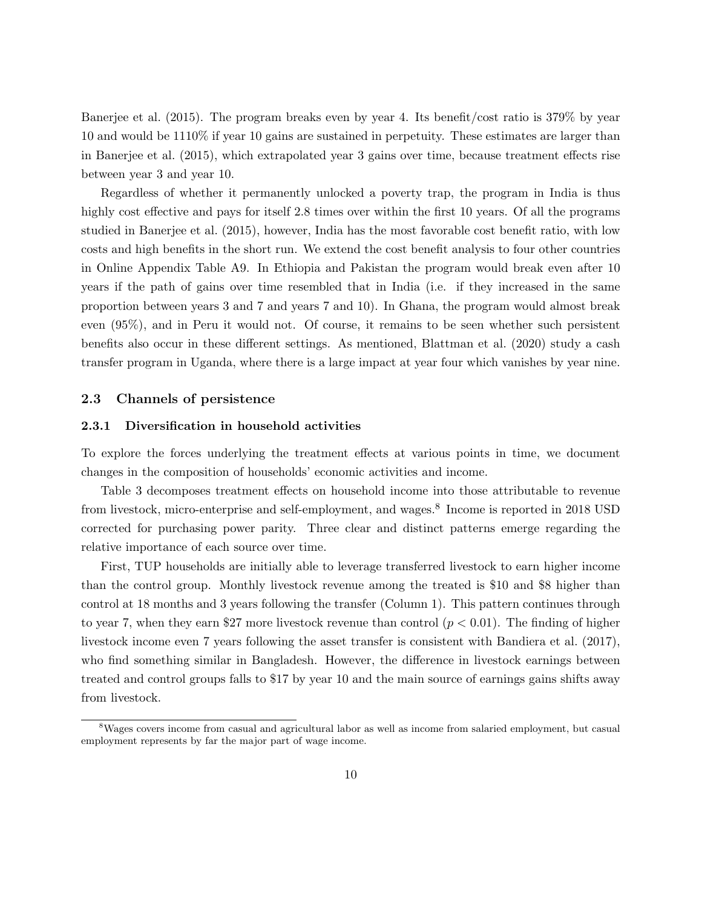Banerjee et al. (2015). The program breaks even by year 4. Its benefit/cost ratio is 379% by year 10 and would be 1110% if year 10 gains are sustained in perpetuity. These estimates are larger than in Banerjee et al. (2015), which extrapolated year 3 gains over time, because treatment effects rise between year 3 and year 10.

Regardless of whether it permanently unlocked a poverty trap, the program in India is thus highly cost effective and pays for itself 2.8 times over within the first 10 years. Of all the programs studied in Banerjee et al. (2015), however, India has the most favorable cost benefit ratio, with low costs and high benefits in the short run. We extend the cost benefit analysis to four other countries in Online Appendix Table A9. In Ethiopia and Pakistan the program would break even after 10 years if the path of gains over time resembled that in India (i.e. if they increased in the same proportion between years 3 and 7 and years 7 and 10). In Ghana, the program would almost break even (95%), and in Peru it would not. Of course, it remains to be seen whether such persistent benefits also occur in these different settings. As mentioned, Blattman et al. (2020) study a cash transfer program in Uganda, where there is a large impact at year four which vanishes by year nine.

#### 2.3 Channels of persistence

#### 2.3.1 Diversification in household activities

To explore the forces underlying the treatment effects at various points in time, we document changes in the composition of households' economic activities and income.

Table 3 decomposes treatment effects on household income into those attributable to revenue from livestock, micro-enterprise and self-employment, and wages.<sup>8</sup> Income is reported in 2018 USD corrected for purchasing power parity. Three clear and distinct patterns emerge regarding the relative importance of each source over time.

First, TUP households are initially able to leverage transferred livestock to earn higher income than the control group. Monthly livestock revenue among the treated is \$10 and \$8 higher than control at 18 months and 3 years following the transfer (Column 1). This pattern continues through to year 7, when they earn \$27 more livestock revenue than control  $(p < 0.01)$ . The finding of higher livestock income even 7 years following the asset transfer is consistent with Bandiera et al. (2017), who find something similar in Bangladesh. However, the difference in livestock earnings between treated and control groups falls to \$17 by year 10 and the main source of earnings gains shifts away from livestock.

<sup>&</sup>lt;sup>8</sup>Wages covers income from casual and agricultural labor as well as income from salaried employment, but casual employment represents by far the major part of wage income.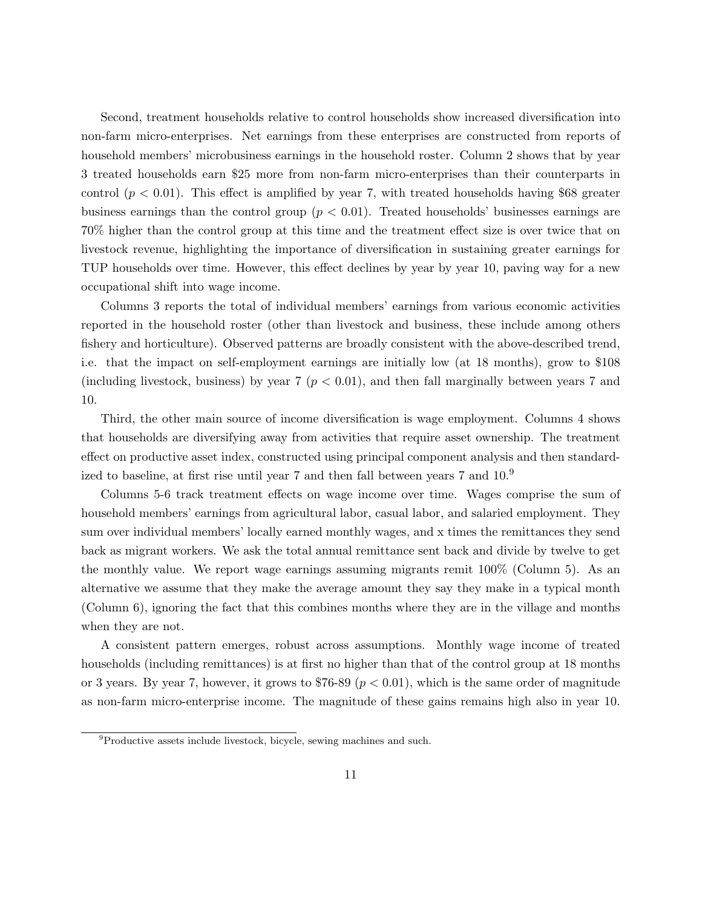Second, treatment households relative to control households show increased diversification into non-farm micro-enterprises. Net earnings from these enterprises are constructed from reports of household members' microbusiness earnings in the household roster. Column 2 shows that by year 3 treated households earn \$25 more from non-farm micro-enterprises than their counterparts in control  $(p < 0.01)$ . This effect is amplified by year 7, with treated households having \$68 greater business earnings than the control group  $(p < 0.01)$ . Treated households' businesses earnings are 70% higher than the control group at this time and the treatment effect size is over twice that on livestock revenue, highlighting the importance of diversification in sustaining greater earnings for TUP households over time. However, this effect declines by year by year 10, paving way for a new occupational shift into wage income.

Columns 3 reports the total of individual members' earnings from various economic activities reported in the household roster (other than livestock and business, these include among others fishery and horticulture). Observed patterns are broadly consistent with the above-described trend, i.e. that the impact on self-employment earnings are initially low (at 18 months), grow to \$108 (including livestock, business) by year  $7 (p < 0.01)$ , and then fall marginally between years 7 and 10.

Third, the other main source of income diversification is wage employment. Columns 4 shows that households are diversifying away from activities that require asset ownership. The treatment effect on productive asset index, constructed using principal component analysis and then standardized to baseline, at first rise until year 7 and then fall between years 7 and  $10<sup>9</sup>$ 

Columns 5-6 track treatment effects on wage income over time. Wages comprise the sum of household members' earnings from agricultural labor, casual labor, and salaried employment. They sum over individual members' locally earned monthly wages, and x times the remittances they send back as migrant workers. We ask the total annual remittance sent back and divide by twelve to get the monthly value. We report wage earnings assuming migrants remit 100% (Column 5). As an alternative we assume that they make the average amount they say they make in a typical month (Column 6), ignoring the fact that this combines months where they are in the village and months when they are not.

A consistent pattern emerges, robust across assumptions. Monthly wage income of treated households (including remittances) is at first no higher than that of the control group at 18 months or 3 years. By year 7, however, it grows to  $$76-89$   $(p < 0.01)$ , which is the same order of magnitude as non-farm micro-enterprise income. The magnitude of these gains remains high also in year 10.

<sup>&</sup>lt;sup>9</sup>Productive assets include livestock, bicycle, sewing machines and such.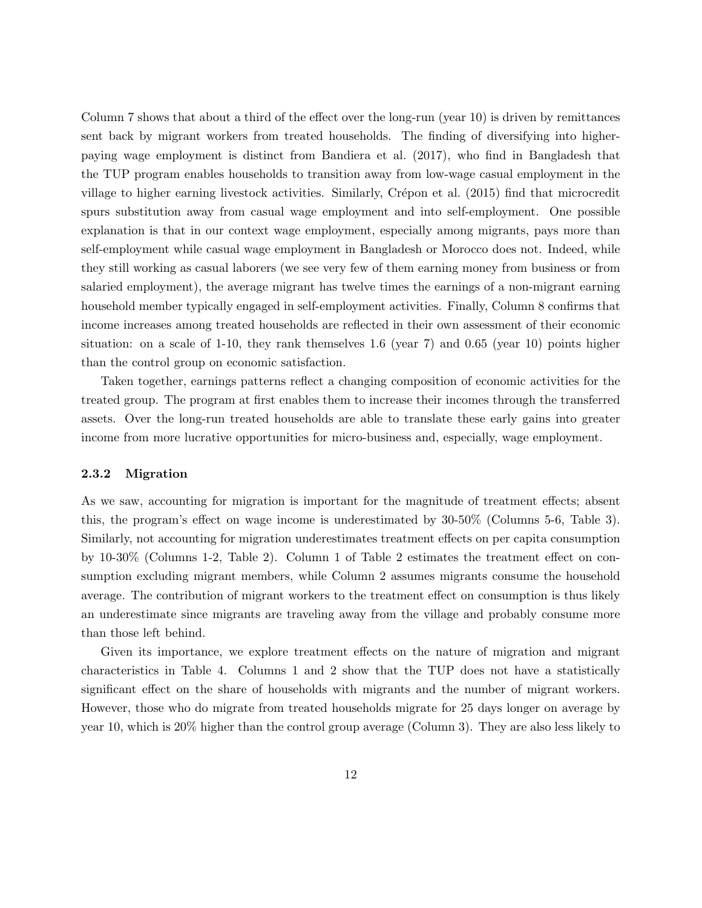Column 7 shows that about a third of the effect over the long-run (year 10) is driven by remittances sent back by migrant workers from treated households. The finding of diversifying into higherpaying wage employment is distinct from Bandiera et al. (2017), who find in Bangladesh that the TUP program enables households to transition away from low-wage casual employment in the village to higher earning livestock activities. Similarly, Crépon et al. (2015) find that microcredit spurs substitution away from casual wage employment and into self-employment. One possible explanation is that in our context wage employment, especially among migrants, pays more than self-employment while casual wage employment in Bangladesh or Morocco does not. Indeed, while they still working as casual laborers (we see very few of them earning money from business or from salaried employment), the average migrant has twelve times the earnings of a non-migrant earning household member typically engaged in self-employment activities. Finally, Column 8 confirms that income increases among treated households are reflected in their own assessment of their economic situation: on a scale of 1-10, they rank themselves 1.6 (year 7) and 0.65 (year 10) points higher than the control group on economic satisfaction.

Taken together, earnings patterns reflect a changing composition of economic activities for the treated group. The program at first enables them to increase their incomes through the transferred assets. Over the long-run treated households are able to translate these early gains into greater income from more lucrative opportunities for micro-business and, especially, wage employment.

#### 2.3.2 Migration

As we saw, accounting for migration is important for the magnitude of treatment effects; absent this, the program's effect on wage income is underestimated by 30-50% (Columns 5-6, Table 3). Similarly, not accounting for migration underestimates treatment effects on per capita consumption by 10-30% (Columns 1-2, Table 2). Column 1 of Table 2 estimates the treatment effect on consumption excluding migrant members, while Column 2 assumes migrants consume the household average. The contribution of migrant workers to the treatment effect on consumption is thus likely an underestimate since migrants are traveling away from the village and probably consume more than those left behind.

Given its importance, we explore treatment effects on the nature of migration and migrant characteristics in Table 4. Columns 1 and 2 show that the TUP does not have a statistically significant effect on the share of households with migrants and the number of migrant workers. However, those who do migrate from treated households migrate for 25 days longer on average by year 10, which is 20% higher than the control group average (Column 3). They are also less likely to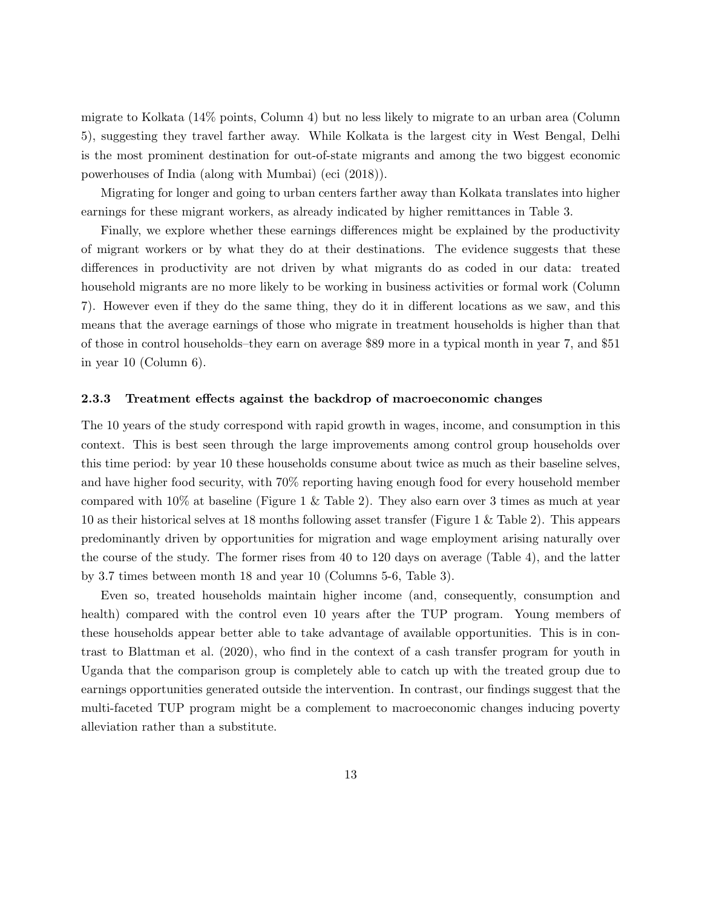migrate to Kolkata (14% points, Column 4) but no less likely to migrate to an urban area (Column 5), suggesting they travel farther away. While Kolkata is the largest city in West Bengal, Delhi is the most prominent destination for out-of-state migrants and among the two biggest economic powerhouses of India (along with Mumbai) (eci (2018)).

Migrating for longer and going to urban centers farther away than Kolkata translates into higher earnings for these migrant workers, as already indicated by higher remittances in Table 3.

Finally, we explore whether these earnings differences might be explained by the productivity of migrant workers or by what they do at their destinations. The evidence suggests that these differences in productivity are not driven by what migrants do as coded in our data: treated household migrants are no more likely to be working in business activities or formal work (Column 7). However even if they do the same thing, they do it in different locations as we saw, and this means that the average earnings of those who migrate in treatment households is higher than that of those in control households–they earn on average \$89 more in a typical month in year 7, and \$51 in year 10 (Column 6).

#### 2.3.3 Treatment effects against the backdrop of macroeconomic changes

The 10 years of the study correspond with rapid growth in wages, income, and consumption in this context. This is best seen through the large improvements among control group households over this time period: by year 10 these households consume about twice as much as their baseline selves, and have higher food security, with 70% reporting having enough food for every household member compared with  $10\%$  at baseline (Figure 1 & Table 2). They also earn over 3 times as much at year 10 as their historical selves at 18 months following asset transfer (Figure 1 & Table 2). This appears predominantly driven by opportunities for migration and wage employment arising naturally over the course of the study. The former rises from 40 to 120 days on average (Table 4), and the latter by 3.7 times between month 18 and year 10 (Columns 5-6, Table 3).

Even so, treated households maintain higher income (and, consequently, consumption and health) compared with the control even 10 years after the TUP program. Young members of these households appear better able to take advantage of available opportunities. This is in contrast to Blattman et al. (2020), who find in the context of a cash transfer program for youth in Uganda that the comparison group is completely able to catch up with the treated group due to earnings opportunities generated outside the intervention. In contrast, our findings suggest that the multi-faceted TUP program might be a complement to macroeconomic changes inducing poverty alleviation rather than a substitute.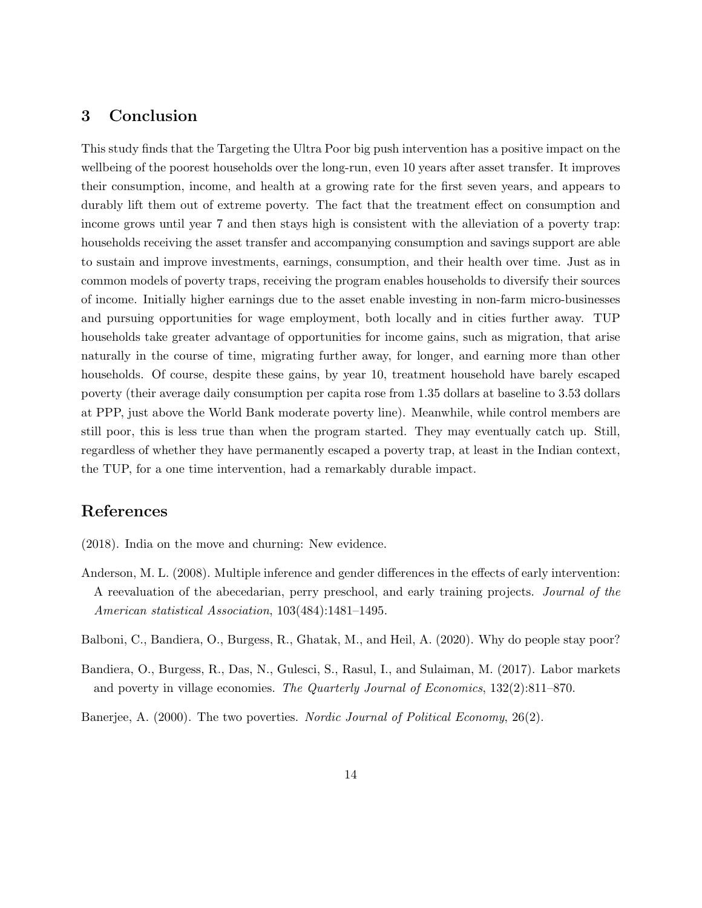# 3 Conclusion

This study finds that the Targeting the Ultra Poor big push intervention has a positive impact on the wellbeing of the poorest households over the long-run, even 10 years after asset transfer. It improves their consumption, income, and health at a growing rate for the first seven years, and appears to durably lift them out of extreme poverty. The fact that the treatment effect on consumption and income grows until year 7 and then stays high is consistent with the alleviation of a poverty trap: households receiving the asset transfer and accompanying consumption and savings support are able to sustain and improve investments, earnings, consumption, and their health over time. Just as in common models of poverty traps, receiving the program enables households to diversify their sources of income. Initially higher earnings due to the asset enable investing in non-farm micro-businesses and pursuing opportunities for wage employment, both locally and in cities further away. TUP households take greater advantage of opportunities for income gains, such as migration, that arise naturally in the course of time, migrating further away, for longer, and earning more than other households. Of course, despite these gains, by year 10, treatment household have barely escaped poverty (their average daily consumption per capita rose from 1.35 dollars at baseline to 3.53 dollars at PPP, just above the World Bank moderate poverty line). Meanwhile, while control members are still poor, this is less true than when the program started. They may eventually catch up. Still, regardless of whether they have permanently escaped a poverty trap, at least in the Indian context, the TUP, for a one time intervention, had a remarkably durable impact.

# References

- (2018). India on the move and churning: New evidence.
- Anderson, M. L. (2008). Multiple inference and gender differences in the effects of early intervention: A reevaluation of the abecedarian, perry preschool, and early training projects. Journal of the American statistical Association, 103(484):1481–1495.
- Balboni, C., Bandiera, O., Burgess, R., Ghatak, M., and Heil, A. (2020). Why do people stay poor?
- Bandiera, O., Burgess, R., Das, N., Gulesci, S., Rasul, I., and Sulaiman, M. (2017). Labor markets and poverty in village economies. The Quarterly Journal of Economics, 132(2):811–870.

Banerjee, A. (2000). The two poverties. *Nordic Journal of Political Economy*, 26(2).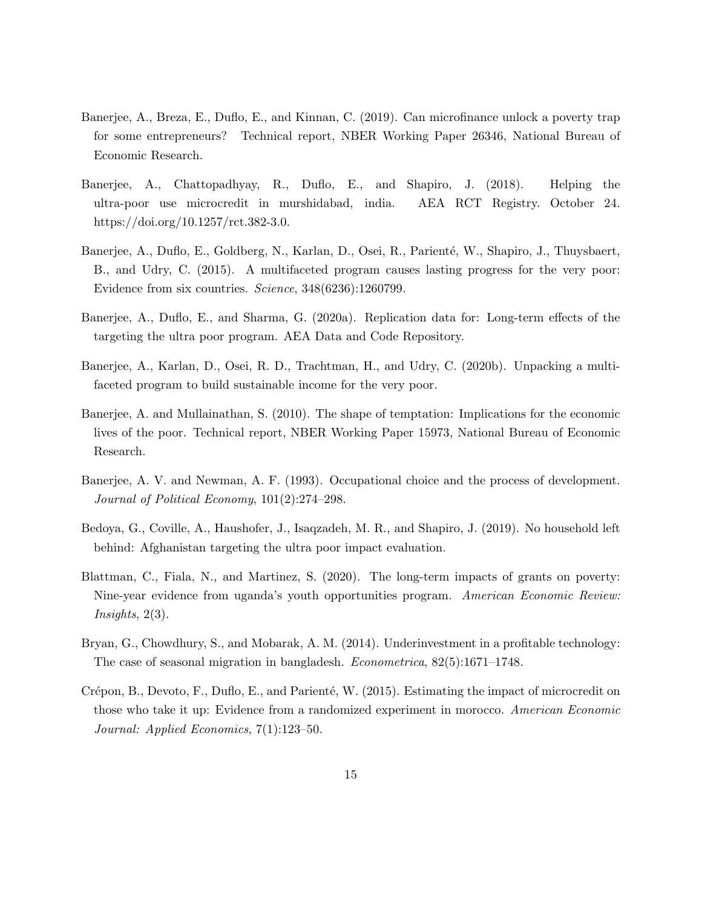- Banerjee, A., Breza, E., Duflo, E., and Kinnan, C. (2019). Can microfinance unlock a poverty trap for some entrepreneurs? Technical report, NBER Working Paper 26346, National Bureau of Economic Research.
- Banerjee, A., Chattopadhyay, R., Duflo, E., and Shapiro, J. (2018). Helping the ultra-poor use microcredit in murshidabad, india. AEA RCT Registry. October 24. https://doi.org/10.1257/rct.382-3.0.
- Banerjee, A., Duflo, E., Goldberg, N., Karlan, D., Osei, R., Parienté, W., Shapiro, J., Thuysbaert, B., and Udry, C. (2015). A multifaceted program causes lasting progress for the very poor: Evidence from six countries. Science, 348(6236):1260799.
- Banerjee, A., Duflo, E., and Sharma, G. (2020a). Replication data for: Long-term effects of the targeting the ultra poor program. AEA Data and Code Repository.
- Banerjee, A., Karlan, D., Osei, R. D., Trachtman, H., and Udry, C. (2020b). Unpacking a multifaceted program to build sustainable income for the very poor.
- Banerjee, A. and Mullainathan, S. (2010). The shape of temptation: Implications for the economic lives of the poor. Technical report, NBER Working Paper 15973, National Bureau of Economic Research.
- Banerjee, A. V. and Newman, A. F. (1993). Occupational choice and the process of development. Journal of Political Economy, 101(2):274–298.
- Bedoya, G., Coville, A., Haushofer, J., Isaqzadeh, M. R., and Shapiro, J. (2019). No household left behind: Afghanistan targeting the ultra poor impact evaluation.
- Blattman, C., Fiala, N., and Martinez, S. (2020). The long-term impacts of grants on poverty: Nine-year evidence from uganda's youth opportunities program. American Economic Review:  $Insights, 2(3).$
- Bryan, G., Chowdhury, S., and Mobarak, A. M. (2014). Underinvestment in a profitable technology: The case of seasonal migration in bangladesh. Econometrica, 82(5):1671–1748.
- Crépon, B., Devoto, F., Duflo, E., and Parienté, W. (2015). Estimating the impact of microcredit on those who take it up: Evidence from a randomized experiment in morocco. American Economic Journal: Applied Economics, 7(1):123–50.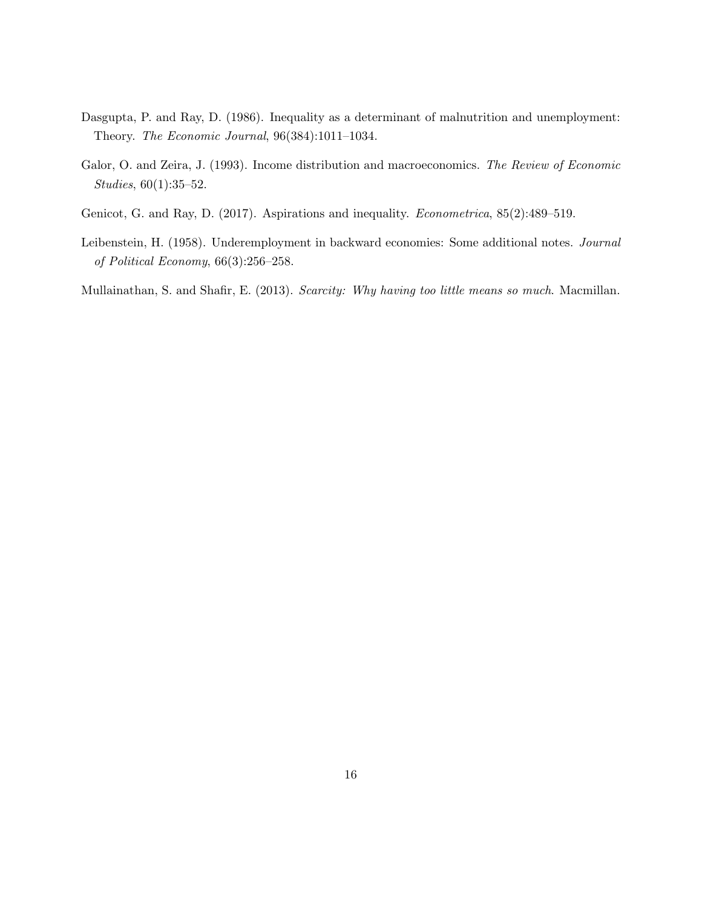- Dasgupta, P. and Ray, D. (1986). Inequality as a determinant of malnutrition and unemployment: Theory. The Economic Journal, 96(384):1011–1034.
- Galor, O. and Zeira, J. (1993). Income distribution and macroeconomics. The Review of Economic Studies, 60(1):35–52.
- Genicot, G. and Ray, D. (2017). Aspirations and inequality. Econometrica, 85(2):489–519.
- Leibenstein, H. (1958). Underemployment in backward economies: Some additional notes. Journal of Political Economy, 66(3):256–258.

Mullainathan, S. and Shafir, E. (2013). Scarcity: Why having too little means so much. Macmillan.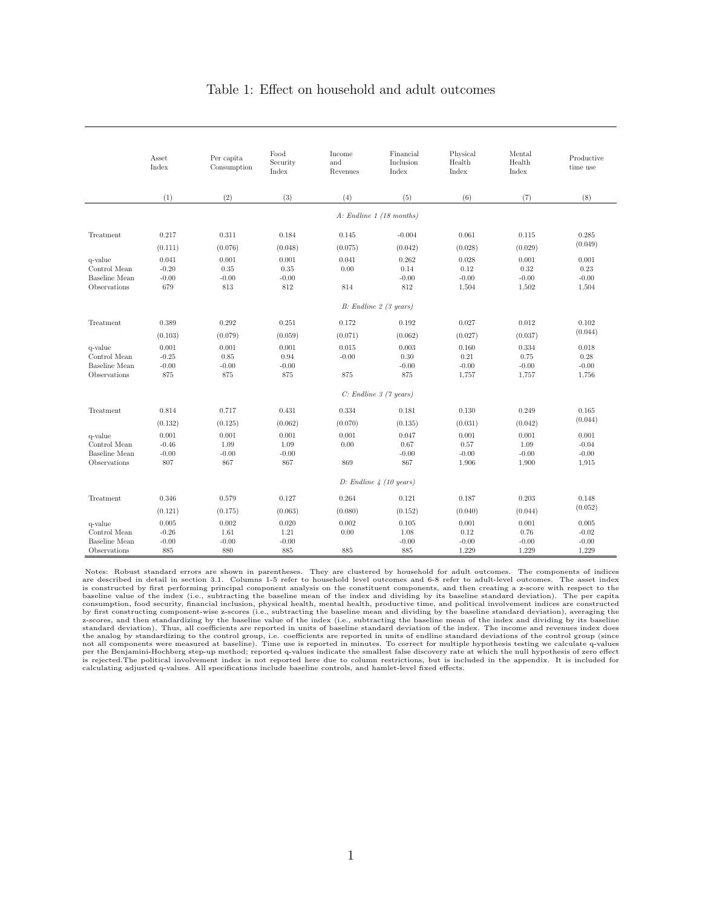### Table 1: Effect on household and adult outcomes

|                                                                 | Asset<br>Index                     | Per capita<br>Consumption        | Food<br>Security<br>Index       | Income<br>and<br>Revenues | Financial<br>Inclusion<br>Index | Physical<br>Health<br>Index       | Mental<br>Health<br>Index         | Productive<br>time use               |  |  |
|-----------------------------------------------------------------|------------------------------------|----------------------------------|---------------------------------|---------------------------|---------------------------------|-----------------------------------|-----------------------------------|--------------------------------------|--|--|
|                                                                 | (1)                                | (2)                              | (3)                             | (4)                       | (5)                             | (6)                               | (7)                               | (8)                                  |  |  |
|                                                                 |                                    |                                  |                                 |                           | $A:$ Endline 1 (18 months)      |                                   |                                   |                                      |  |  |
| Treatment                                                       | 0.217                              | 0.311                            | 0.184                           | 0.145                     | $-0.004$                        | 0.061                             | 0.115                             | 0.285                                |  |  |
|                                                                 | (0.111)                            | (0.076)                          | (0.048)                         | (0.075)                   | (0.042)                         | (0.028)                           | (0.029)                           | (0.049)                              |  |  |
| q-value<br>Control Mean<br>Baseline Mean<br>Observations        | 0.041<br>$-0.20$<br>$-0.00$<br>679 | 0.001<br>0.35<br>$-0.00$<br>813  | 0.001<br>0.35<br>$-0.00$<br>812 | 0.041<br>0.00<br>814      | 0.262<br>0.14<br>$-0.00$<br>812 | 0.028<br>0.12<br>$-0.00$<br>1,504 | 0.001<br>0.32<br>$-0.00$<br>1,502 | 0.001<br>0.23<br>$-0.00$<br>1,504    |  |  |
|                                                                 |                                    |                                  |                                 |                           | $B:$ Endline 2 (3 years)        |                                   |                                   |                                      |  |  |
| Treatment                                                       | 0.389                              | 0.292                            | 0.251                           | 0.172                     | 0.192                           | 0.027                             | 0.012                             | 0.102                                |  |  |
|                                                                 | (0.103)                            | (0.079)                          | (0.059)                         | (0.071)                   | (0.062)                         | (0.027)                           | (0.037)                           | (0.044)                              |  |  |
| q-value<br>Control Mean<br><b>Baseline</b> Mean<br>Observations | 0.001<br>$-0.25$<br>$-0.00$<br>875 | 0.001<br>0.85<br>$-0.00$<br>875  | 0.001<br>0.94<br>$-0.00$<br>875 | 0.015<br>$-0.00$<br>875   | 0.003<br>0.30<br>$-0.00$<br>875 | 0.160<br>0.21<br>$-0.00$<br>1,757 | 0.334<br>0.75<br>$-0.00$<br>1,757 | 0.018<br>0.28<br>$-0.00$<br>1,756    |  |  |
|                                                                 |                                    |                                  | $C:$ Endline 3 (7 years)        |                           |                                 |                                   |                                   |                                      |  |  |
| Treatment                                                       | 0.814                              | 0.717                            | 0.431                           | 0.334                     | 0.181                           | 0.130                             | 0.249                             | 0.165                                |  |  |
|                                                                 | (0.132)                            | (0.125)                          | (0.062)                         | (0.070)                   | (0.135)                         | (0.031)                           | (0.042)                           | (0.044)                              |  |  |
| q-value<br>Control Mean<br>Baseline Mean<br>Observations        | 0.001<br>$-0.46$<br>$-0.00$<br>807 | 0.001<br>1.09<br>$-0.00$<br>867  | 0.001<br>1.09<br>$-0.00$<br>867 | 0.001<br>0.00<br>869      | 0.047<br>0.67<br>$-0.00$<br>867 | 0.001<br>0.57<br>$-0.00$<br>1,906 | 0.001<br>1.09<br>$-0.00$<br>1,900 | 0.001<br>$-0.04$<br>$-0.00$<br>1,915 |  |  |
|                                                                 |                                    | D: Endline $4(10 \text{ years})$ |                                 |                           |                                 |                                   |                                   |                                      |  |  |
| Treatment                                                       | 0.346                              | 0.579                            | 0.127                           | 0.264                     | 0.121                           | 0.187                             | 0.203                             | 0.148                                |  |  |
|                                                                 | (0.121)                            | (0.175)                          | (0.063)                         | (0.080)                   | (0.152)                         | (0.040)                           | (0.044)                           | (0.052)                              |  |  |
| q-value<br>Control Mean<br><b>Baseline</b> Mean<br>Observations | 0.005<br>$-0.26$<br>$-0.00$<br>885 | 0.002<br>1.61<br>$-0.00$<br>880  | 0.020<br>1.21<br>$-0.00$<br>885 | 0.002<br>0.00<br>885      | 0.105<br>1.08<br>$-0.00$<br>885 | 0.001<br>0.12<br>$-0.00$<br>1,229 | 0.001<br>0.76<br>$-0.00$<br>1,229 | 0.005<br>$-0.02$<br>$-0.00$<br>1,229 |  |  |

Notes: Robust standard errors are shown in parentheses. They are clustered by household for adult outcomes. The components of indices are described in detail in section 3.1. Columns 1-5 refer to household level outcomes and 6-8 refer to adult-level outcomes. The asset index is constructed by first performing principal component analysis on the constituent components, and then creating a z-score with respect to the baseline walue of the index (i.e., subtracting the baseline mean of the index a z-scores, and then standardizing by the baseline value of the index (i.e., subtracting the baseline mean of the index and dividing by its baseline<br>standard deviation). Thus, all coefficients are reported in units of baseli not all components were measured at baseline). Time use is reported in minutes. To correct for multiple hypothesis testing we calculate q-values<br>per the Benjamini-Hochberg step-up method; reported q-values indicate the sma calculating adjusted q-values. All specifications include baseline controls, and hamlet-level fixed effects.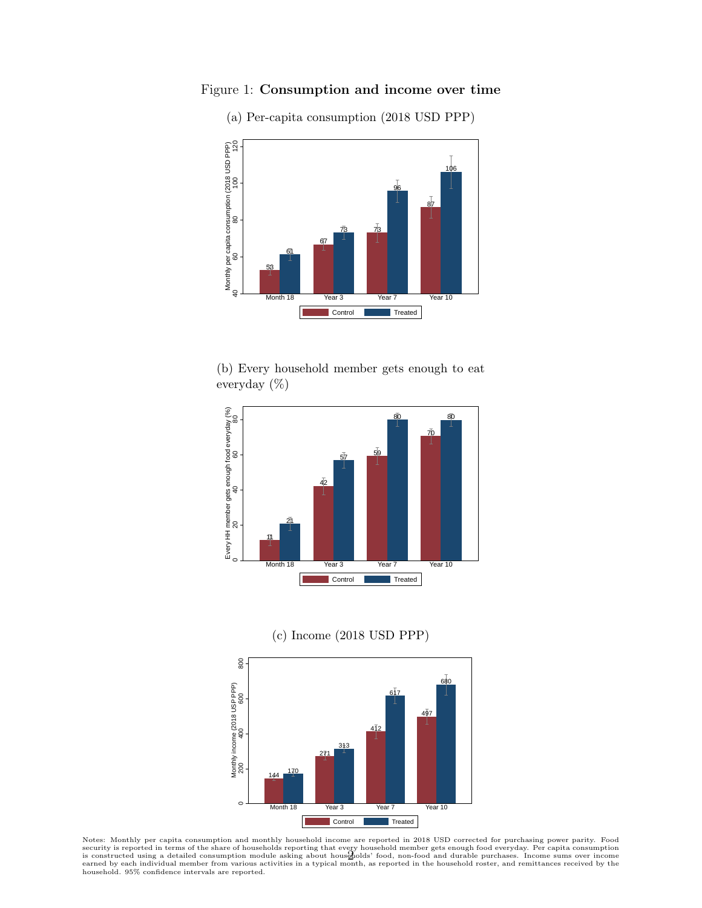

Figure 1: Consumption and income over time

(a) Per-capita consumption (2018 USD PPP)





(c) Income (2018 USD PPP)



Notes: Monthly per capita consumption and monthly household income are reported in 2018 USD corrected for purchasing power parity. Food<br>security is reported in terms of the share of households reporting that every househol household. 95% confidence intervals are reported.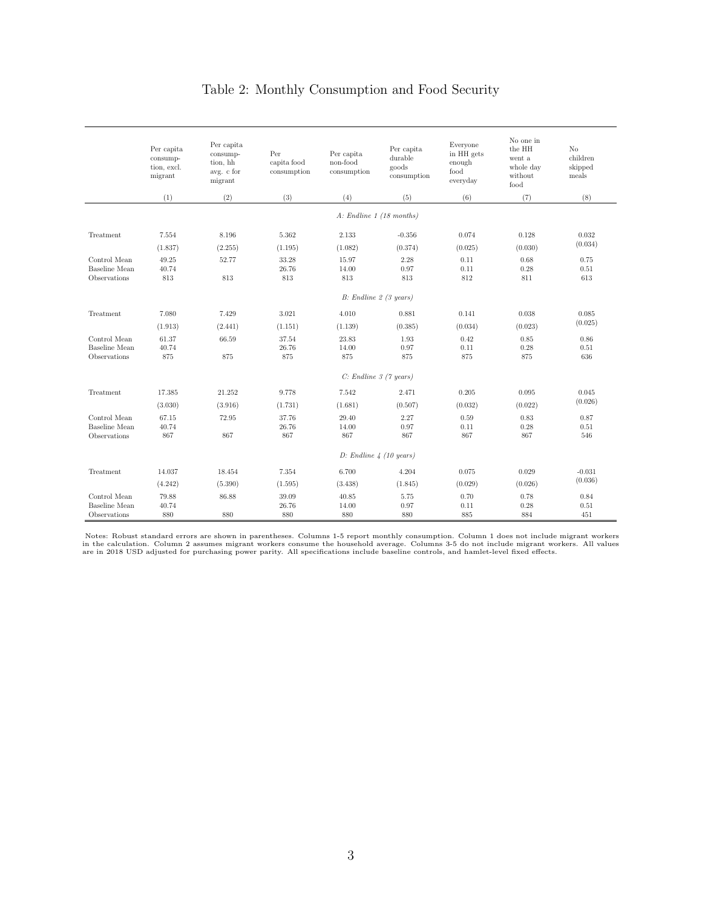# Table 2: Monthly Consumption and Food Security

|                                               | Per capita<br>consump-<br>tion, excl.<br>migrant | Per capita<br>consump-<br>tion, hh<br>avg. c for<br>migrant | Per<br>capita food<br>consumption | Per capita<br>non-food<br>consumption | Per capita<br>durable<br>goods<br>consumption | Everyone<br>in HH gets<br>enough<br>$_{\rm food}$<br>everyday | No one in<br>the HH<br>went a<br>whole day<br>without<br>food | No<br>children<br>skipped<br>meals |
|-----------------------------------------------|--------------------------------------------------|-------------------------------------------------------------|-----------------------------------|---------------------------------------|-----------------------------------------------|---------------------------------------------------------------|---------------------------------------------------------------|------------------------------------|
|                                               | (1)                                              | (2)                                                         | (3)                               | (4)                                   | (5)                                           | (6)                                                           | (7)                                                           | (8)                                |
|                                               | $A:$ Endline 1 (18 months)                       |                                                             |                                   |                                       |                                               |                                                               |                                                               |                                    |
| Treatment                                     | 7.554                                            | 8.196                                                       | 5.362                             | 2.133                                 | $-0.356$                                      | 0.074                                                         | 0.128                                                         | 0.032                              |
|                                               | (1.837)                                          | (2.255)                                                     | (1.195)                           | (1.082)                               | (0.374)                                       | (0.025)                                                       | (0.030)                                                       | (0.034)                            |
| Control Mean<br>Baseline Mean<br>Observations | 49.25<br>40.74<br>813                            | 52.77<br>813                                                | 33.28<br>26.76<br>813             | 15.97<br>14.00<br>813                 | 2.28<br>0.97<br>813                           | 0.11<br>0.11<br>812                                           | 0.68<br>0.28<br>811                                           | 0.75<br>0.51<br>613                |
|                                               |                                                  |                                                             |                                   | $B:$ Endline 2 (3 years)              |                                               |                                                               |                                                               |                                    |
| Treatment                                     | 7.080                                            | 7.429                                                       | 3.021                             | 4.010                                 | 0.881                                         | 0.141                                                         | 0.038                                                         | 0.085                              |
|                                               | (1.913)                                          | (2.441)                                                     | (1.151)                           | (1.139)                               | (0.385)                                       | (0.034)                                                       | (0.023)                                                       | (0.025)                            |
| Control Mean<br>Baseline Mean<br>Observations | 61.37<br>40.74<br>875                            | 66.59<br>875                                                | 37.54<br>26.76<br>875             | 23.83<br>14.00<br>875                 | 1.93<br>0.97<br>875                           | 0.42<br>0.11<br>875                                           | 0.85<br>0.28<br>875                                           | 0.86<br>0.51<br>636                |
|                                               | $C:$ Endline $\beta$ (7 years)                   |                                                             |                                   |                                       |                                               |                                                               |                                                               |                                    |
| Treatment                                     | 17.385                                           | 21.252                                                      | 9.778                             | 7.542                                 | 2.471                                         | 0.205                                                         | 0.095                                                         | 0.045                              |
|                                               | (3.030)                                          | (3.916)                                                     | (1.731)                           | (1.681)                               | (0.507)                                       | (0.032)                                                       | (0.022)                                                       | (0.026)                            |
| Control Mean<br>Baseline Mean<br>Observations | 67.15<br>40.74<br>867                            | 72.95<br>867                                                | 37.76<br>26.76<br>867             | 29.40<br>14.00<br>867                 | 2.27<br>0.97<br>867                           | 0.59<br>0.11<br>867                                           | 0.83<br>0.28<br>867                                           | 0.87<br>0.51<br>546                |
|                                               | $D$ : Endline 4 (10 years)                       |                                                             |                                   |                                       |                                               |                                                               |                                                               |                                    |
| Treatment                                     | 14.037                                           | 18.454                                                      | 7.354                             | 6.700                                 | 4.204                                         | 0.075                                                         | 0.029                                                         | $-0.031$                           |
|                                               | (4.242)                                          | (5.390)                                                     | (1.595)                           | (3.438)                               | (1.845)                                       | (0.029)                                                       | (0.026)                                                       | (0.036)                            |
| Control Mean<br>Baseline Mean<br>Observations | 79.88<br>40.74<br>880                            | 86.88<br>880                                                | 39.09<br>26.76<br>880             | 40.85<br>14.00<br>880                 | 5.75<br>0.97<br>880                           | 0.70<br>0.11<br>885                                           | 0.78<br>0.28<br>884                                           | 0.84<br>0.51<br>451                |

Notes: Robust standard errors are shown in parentheses. Columns 1-5 report monthly consumption. Column 1 does not include migrant workers<br>in the calculation. Column 2 assumes migrant workers consume the household average.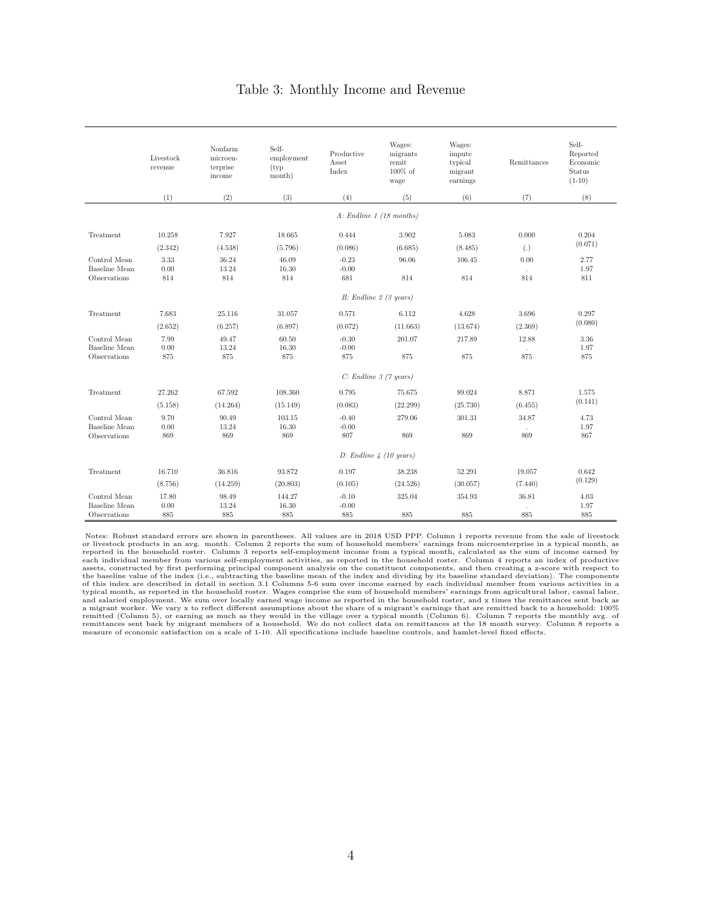### Table 3: Monthly Income and Revenue

|                                      | Livestock<br>revenue           | Nonfarm<br>microen-<br>terprise<br>income | Self-<br>employment<br>(typ)<br>month) | Productive<br>Asset<br>Index | Wages:<br>migrants<br>remit<br>$100\%$ of<br>wage | Wages:<br>impute<br>typical<br>migrant<br>earnings | Remittances       | Self-<br>Reported<br>Economic<br><b>Status</b><br>$(1-10)$ |  |
|--------------------------------------|--------------------------------|-------------------------------------------|----------------------------------------|------------------------------|---------------------------------------------------|----------------------------------------------------|-------------------|------------------------------------------------------------|--|
|                                      | (1)                            | (2)                                       | (3)                                    | (4)                          | (5)                                               | (6)                                                | (7)               | (8)                                                        |  |
|                                      |                                |                                           |                                        |                              | $A:$ Endline 1 (18 months)                        |                                                    |                   |                                                            |  |
| Treatment                            | 10.258                         | 7.927                                     | 18.665                                 | 0.444                        | 3.902                                             | 5.083                                              | 0.000             | 0.204                                                      |  |
|                                      | (2.342)                        | (4.538)                                   | (5.796)                                | (0.086)                      | (6.685)                                           | (8.485)                                            | $\left( .\right)$ | (0.071)                                                    |  |
| Control Mean                         | 3.33                           | 36.24                                     | 46.09                                  | $-0.23$                      | 96.06                                             | 106.45                                             | 0.00              | 2.77                                                       |  |
| <b>Baseline</b> Mean                 | 0.00                           | 13.24                                     | 16.30                                  | $-0.00$                      |                                                   |                                                    | $\sim$            | 1.97                                                       |  |
| Observations                         | 814                            | 814                                       | 814                                    | 681                          | 814                                               | 814                                                | 814               | 811                                                        |  |
|                                      |                                |                                           |                                        |                              | $B:$ Endline 2 (3 years)                          |                                                    |                   |                                                            |  |
| Treatment                            | 7.683                          | 25.116                                    | 31.057                                 | 0.571                        | 6.112                                             | 4.628                                              | 3.696             | 0.297                                                      |  |
|                                      | (2.652)                        | (6.257)                                   | (6.897)                                | (0.072)                      | (11.663)                                          | (13.674)                                           | (2.369)           | (0.080)                                                    |  |
| Control Mean                         | 7.99                           | 49.47                                     | 60.50                                  | $-0.30$                      | 201.07                                            | 217.89                                             | 12.88             | 3.36                                                       |  |
| <b>Baseline</b> Mean<br>Observations | 0.00<br>875                    | 13.24<br>875                              | 16.30<br>875                           | $-0.00$<br>875               | 875                                               | 875                                                | 875               | 1.97<br>875                                                |  |
|                                      |                                |                                           |                                        |                              |                                                   |                                                    |                   |                                                            |  |
|                                      | $C:$ Endline $\beta$ (7 years) |                                           |                                        |                              |                                                   |                                                    |                   |                                                            |  |
| Treatment                            | 27.262                         | 67.592                                    | 108.360                                | 0.795                        | 75.675                                            | 89.024                                             | 8.871             | 1.575                                                      |  |
|                                      | (5.158)                        | (14.264)                                  | (15.149)                               | (0.083)                      | (22.299)                                          | (25.730)                                           | (6.455)           | (0.141)                                                    |  |
| Control Mean                         | 9.70                           | 90.49                                     | 103.15                                 | $-0.40$                      | 279.06                                            | 301.31                                             | 34.87             | 4.73                                                       |  |
| <b>Baseline</b> Mean<br>Observations | 0.00<br>869                    | 13.24<br>869                              | 16.30<br>869                           | $-0.00$<br>807               | 869                                               | 869                                                | 869               | 1.97<br>867                                                |  |
|                                      |                                |                                           |                                        |                              |                                                   |                                                    |                   |                                                            |  |
|                                      |                                |                                           |                                        |                              | D: Endline $\frac{1}{4}$ (10 years)               |                                                    |                   |                                                            |  |
| Treatment                            | 16.710                         | 36.816                                    | 93.872                                 | 0.197                        | 38.238                                            | 52.291                                             | 19.057            | 0.642                                                      |  |
|                                      | (8.756)                        | (14.259)                                  | (20.803)                               | (0.105)                      | (24.526)                                          | (30.057)                                           | (7.440)           | (0.129)                                                    |  |
| Control Mean                         | 17.80                          | 98.49                                     | 144.27                                 | $-0.10$                      | 325.04                                            | 354.93                                             | 36.81             | 4.03                                                       |  |
| Baseline Mean                        | 0.00                           | 13.24                                     | 16.30                                  | $-0.00$                      |                                                   |                                                    |                   | 1.97                                                       |  |
| Observations                         | 885                            | 885                                       | 885                                    | 885                          | 885                                               | 885                                                | 885               | 885                                                        |  |

Notes: Robust standard errors are shown in parentheses. All values are in 2018 USD PPP. Column 1 reports revenue from the sale of livestock or livestock products in an avg. month. Column 2 reports the sum of household members' earnings from microenterprise in a typical month, as reported in the household roster. Column 3 reports self-employment income from a typical month, calculated as the sum of income earned by<br>each individual member from various self-employment activities, as reported in the h assets, constructed by first performing principal component analysis on the constituent components, and then creating a z-score with respect to the baseline value of the index (i.e., subtracting the baseline mean of the index and dividing by its baseline standard deviation). The components<br>of this index are described in detail in section 3.1 Columns 5-6 sum over i typical month, as reported in the household roster. Wages comprise the sum of household members' earnings from agricultural labor, casual labor, and salaried employment. We sum over locally earned wage income as reported i